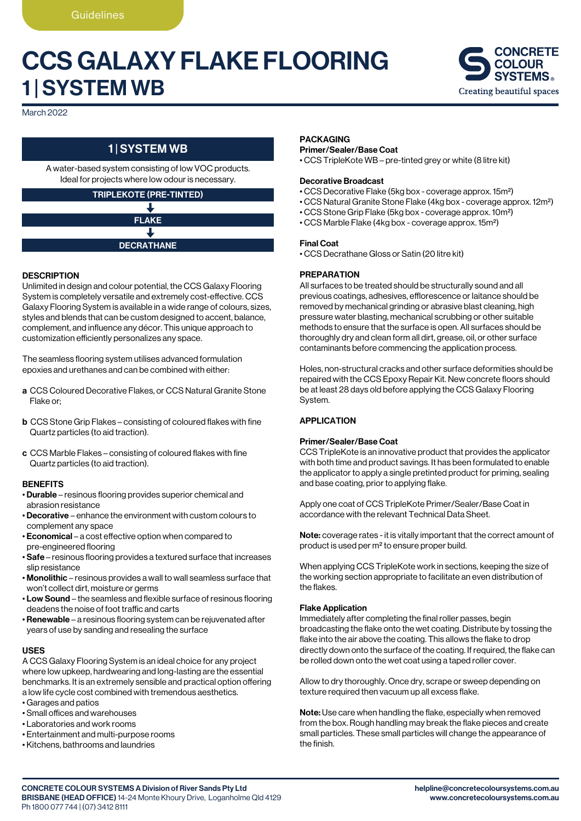# CCS GALAXY FLAKE FLOORING 1 | SYSTEM WB



March 2022

# 1 | SYSTEM WB

A water-based system consisting of low VOC products. Ideal for projects where low odour is necessary.

# TRIPLEKOTE (PRE-TINTED) ↓

# FLAKE J DECRATHANE

# **DESCRIPTION**

Unlimited in design and colour potential, the CCS Galaxy Flooring System is completely versatile and extremely cost-effective. CCS Galaxy Flooring System is available in a wide range of colours, sizes, styles and blends that can be custom designed to accent, balance, complement, and influence any décor. This unique approach to customization efficiently personalizes any space.

The seamless flooring system utilises advanced formulation epoxies and urethanes and can be combined with either:

- a CCS Coloured Decorative Flakes, or CCS Natural Granite Stone Flake or;
- b CCS Stone Grip Flakes consisting of coloured flakes with fine Quartz particles (to aid traction).
- c CCS Marble Flakes consisting of coloured flakes with fine Quartz particles (to aid traction).

### **BENEFITS**

- Durable resinous flooring provides superior chemical and abrasion resistance
- Decorative enhance the environment with custom colours to complement any space
- Economical a cost effective option when compared to pre-engineered flooring
- Safe resinous flooring provides a textured surface that increases slip resistance
- Monolithic resinous provides a wall to wall seamless surface that won't collect dirt, moisture or germs
- Low Sound the seamless and flexible surface of resinous flooring deadens the noise of foot traffic and carts
- Renewable a resinous flooring system can be rejuvenated after years of use by sanding and resealing the surface

#### USES

A CCS Galaxy Flooring System is an ideal choice for any project where low upkeep, hardwearing and long-lasting are the essential benchmarks. It is an extremely sensible and practical option offering a low life cycle cost combined with tremendous aesthetics.

- Garages and patios
- Small offices and warehouses
- Laboratories and work rooms
- Entertainment and multi-purpose rooms
- Kitchens, bathrooms and laundries

#### PACKAGING

#### Primer/Sealer/Base Coat

• CCS TripleKote WB – pre-tinted grey or white (8 litre kit)

#### Decorative Broadcast

- CCS Decorative Flake (5kg box coverage approx. 15m2)
- CCS Natural Granite Stone Flake (4kg box coverage approx. 12m2)
- CCS Stone Grip Flake (5kg box coverage approx. 10m2)
- CCS Marble Flake (4kg box coverage approx. 15m2)

#### Final Coat

• CCS Decrathane Gloss or Satin (20 litre kit)

# **PREPARATION**

All surfaces to be treated should be structurally sound and all previous coatings, adhesives, efflorescence or laitance should be removed by mechanical grinding or abrasive blast cleaning, high pressure water blasting, mechanical scrubbing or other suitable methods to ensure that the surface is open. All surfaces should be thoroughly dry and clean form all dirt, grease, oil, or other surface contaminants before commencing the application process.

Holes, non-structural cracks and other surface deformities should be repaired with the CCS Epoxy Repair Kit. New concrete floors should be at least 28 days old before applying the CCS Galaxy Flooring System.

# **APPLICATION**

#### Primer/Sealer/Base Coat

CCS TripleKote is an innovative product that provides the applicator with both time and product savings. It has been formulated to enable the applicator to apply a single pretinted product for priming, sealing and base coating, prior to applying flake.

Apply one coat of CCS TripleKote Primer/Sealer/Base Coat in accordance with the relevant Technical Data Sheet.

Note: coverage rates - it is vitally important that the correct amount of product is used per m2 to ensure proper build.

When applying CCS TripleKote work in sections, keeping the size of the working section appropriate to facilitate an even distribution of the flakes.

#### Flake Application

Immediately after completing the final roller passes, begin broadcasting the flake onto the wet coating. Distribute by tossing the flake into the air above the coating. This allows the flake to drop directly down onto the surface of the coating. If required, the flake can be rolled down onto the wet coat using a taped roller cover.

Allow to dry thoroughly. Once dry, scrape or sweep depending on texture required then vacuum up all excess flake.

Note: Use care when handling the flake, especially when removed from the box. Rough handling may break the flake pieces and create small particles. These small particles will change the appearance of the finish.